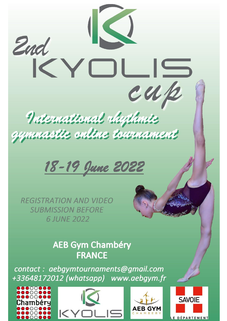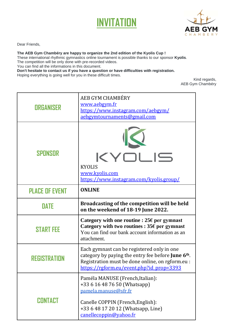



Dear Friends,

## **The AEB Gym Chambéry are happy to organize the 2nd edition of the Kyolis Cup !**

These international rhythmic gymnastics online tournament is possible thanks to our sponsor **Kyolis**. The competition will be only done with pre-recorded videos.

You can find all the informations in this document.

**Don't hesitate to contact us if you have a question or have difficulties with registration.**

Hoping everything is going well for you in these difficult times.

Kind regards, AEB Gym Chambéry

| <b>ORGANISER</b>      | AEB GYM CHAMBÉRY<br>www.aebgym.fr<br>https://www.instagram.com/aebgym/<br>aebgymtournaments@gmail.com                                                                                                   |  |
|-----------------------|---------------------------------------------------------------------------------------------------------------------------------------------------------------------------------------------------------|--|
| SPONSOR               | KYOLIS<br><b>KYOLIS</b><br>www.kyolis.com<br>https://www.instagram.com/kyolis.group/                                                                                                                    |  |
| <b>PLACE OF EVENT</b> | <b>ONLINE</b>                                                                                                                                                                                           |  |
| <b>DATE</b>           | Broadcasting of the competition will be held<br>on the weekend of 18-19 June 2022.                                                                                                                      |  |
| <b>START FEE</b>      | Category with one routine : $25\epsilon$ per gymnast<br>Category with two routines : $35\epsilon$ per gymnast<br>You can find our bank account information as an<br>attachment.                         |  |
| REGISTRATION          | Each gymnast can be registered only in one<br>category by paying the entry fee before <b>June 6th</b> .<br>Registration must be done online, on rgform.eu :<br>https://rgform.eu/event.php?id prop=3393 |  |
| <b>CONTACT</b>        | Paméla MANUSE (French, Italian):<br>+33 6 16 48 76 50 (Whatsapp)<br>pamela.manuse@sfr.fr<br>Canelle COPPIN (French, English):<br>+33 6 48 17 20 12 (Whatsapp, Line)<br>canellecoppin@yahoo.fr           |  |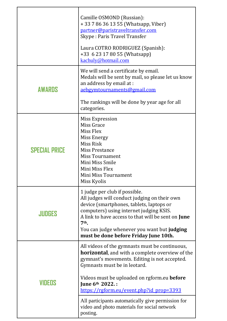|                      | Camille OSMOND (Russian):<br>+ 33 7 86 36 13 55 (Whatsapp, Viber)<br>partner@paristraveltransfer.com<br>Skype: Paris Travel Transfer<br>Laura COTRO RODRIGUEZ (Spanish):<br>+33 6 23 17 80 55 (Whatsapp)<br>kachuly@hotmail.com                                                                                                                                                                                                    |
|----------------------|------------------------------------------------------------------------------------------------------------------------------------------------------------------------------------------------------------------------------------------------------------------------------------------------------------------------------------------------------------------------------------------------------------------------------------|
| <b>AWARDS</b>        | We will send a certificate by email.<br>Medals will be sent by mail, so please let us know<br>an address by email at :<br>aebgymtournaments@gmail.com                                                                                                                                                                                                                                                                              |
|                      | The rankings will be done by year age for all<br>categories.                                                                                                                                                                                                                                                                                                                                                                       |
| <b>SPECIAL PRICE</b> | Miss Expression<br>Miss Grace<br>Miss Flex<br>Miss Energy<br>Miss Risk<br><b>Miss Prestance</b><br><b>Miss Tournament</b><br>Mini Miss Smile<br>Mini Miss Flex<br>Mini Miss Tournament<br>Miss Kyolis                                                                                                                                                                                                                              |
| JUDGES               | 1 judge per club if possible.<br>All judges will conduct judging on their own<br>device (smartphones, tablets, laptops or<br>computers) using internet judging KSIS.<br>A link to have access to that will be sent on <b>June</b><br>$7th$ .<br>You can judge whenever you want but judging<br>must be done before Friday June 10th.                                                                                               |
| VIDENS               | All videos of the gymnasts must be continuous,<br><b>horizontal</b> , and with a complete overview of the<br>gymnast's movements. Editing is not accepted.<br>Gymnasts must be in leotard.<br>Videos must be uploaded on rgform.eu <b>before</b><br>June 6th 2022. :<br>https://rgform.eu/event.php?id_prop=3393<br>All participants automatically give permission for<br>video and photo materials for social network<br>posting. |